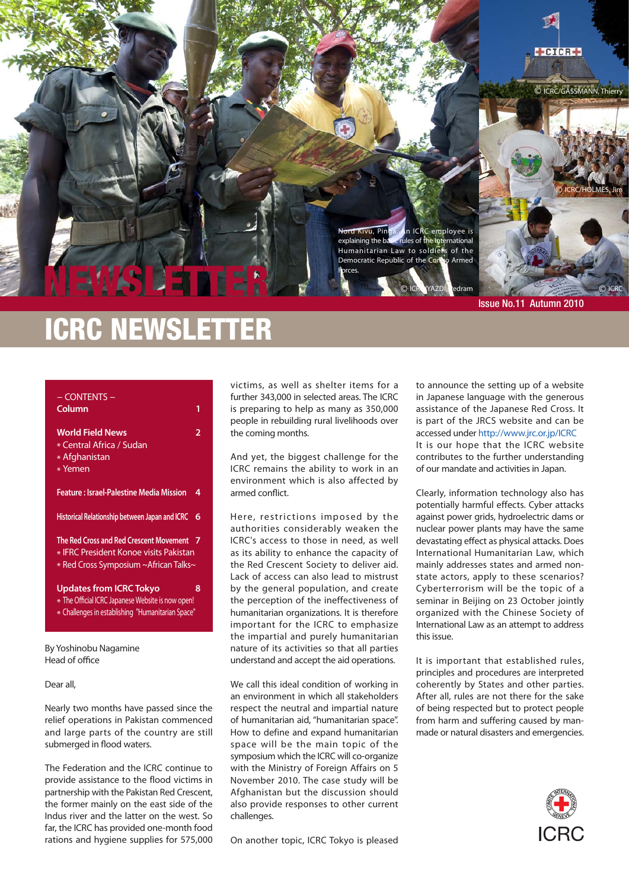

# ICRC NEWSLETTER

| - CONTENTS -<br>Column                                                                                                                   | 1   |
|------------------------------------------------------------------------------------------------------------------------------------------|-----|
| <b>World Field News</b><br>* Central Africa / Sudan<br>* Afghanistan<br>* Yemen                                                          | 2   |
| <b>Feature : Israel-Palestine Media Mission</b>                                                                                          | 4   |
| Historical Relationship between Japan and ICRC                                                                                           | 6   |
| The Red Cross and Red Crescent Movement<br>* IFRC President Konoe visits Pakistan<br>* Red Cross Symposium ~African Talks~               | - 7 |
| <b>Updates from ICRC Tokyo</b><br>* The Official ICRC Japanese Website is now open!<br>* Challenges in establishing "Humanitarian Space" | 8   |
| By Yoshinobu Nagamine<br>Head of office                                                                                                  |     |

Dear all,

Nearly two months have passed since the relief operations in Pakistan commenced and large parts of the country are still submerged in flood waters.

The Federation and the ICRC continue to provide assistance to the flood victims in partnership with the Pakistan Red Crescent, the former mainly on the east side of the Indus river and the latter on the west. So far, the ICRC has provided one-month food rations and hygiene supplies for 575,000

victims, as well as shelter items for a further 343,000 in selected areas. The ICRC is preparing to help as many as 350,000 people in rebuilding rural livelihoods over the coming months.

And yet, the biggest challenge for the ICRC remains the ability to work in an environment which is also affected by armed conflict.

Here, restrictions imposed by the authorities considerably weaken the ICRC's access to those in need, as well as its ability to enhance the capacity of the Red Crescent Society to deliver aid. Lack of access can also lead to mistrust by the general population, and create the perception of the ineffectiveness of humanitarian organizations. It is therefore important for the ICRC to emphasize the impartial and purely humanitarian nature of its activities so that all parties understand and accept the aid operations.

We call this ideal condition of working in an environment in which all stakeholders respect the neutral and impartial nature of humanitarian aid, "humanitarian space". How to define and expand humanitarian space will be the main topic of the symposium which the ICRC will co-organize with the Ministry of Foreign Affairs on 5 November 2010. The case study will be Afghanistan but the discussion should also provide responses to other current challenges.

On another topic, ICRC Tokyo is pleased

to announce the setting up of a website in Japanese language with the generous assistance of the Japanese Red Cross. It is part of the JRCS website and can be accessed under http://www.jrc.or.jp/ICRC It is our hope that the ICRC website contributes to the further understanding of our mandate and activities in Japan.

Clearly, information technology also has potentially harmful effects. Cyber attacks against power grids, hydroelectric dams or nuclear power plants may have the same devastating effect as physical attacks. Does International Humanitarian Law, which mainly addresses states and armed nonstate actors, apply to these scenarios? Cyberterrorism will be the topic of a seminar in Beijing on 23 October jointly organized with the Chinese Society of International Law as an attempt to address this issue.

It is important that established rules, principles and procedures are interpreted coherently by States and other parties. After all, rules are not there for the sake of being respected but to protect people from harm and suffering caused by manmade or natural disasters and emergencies.

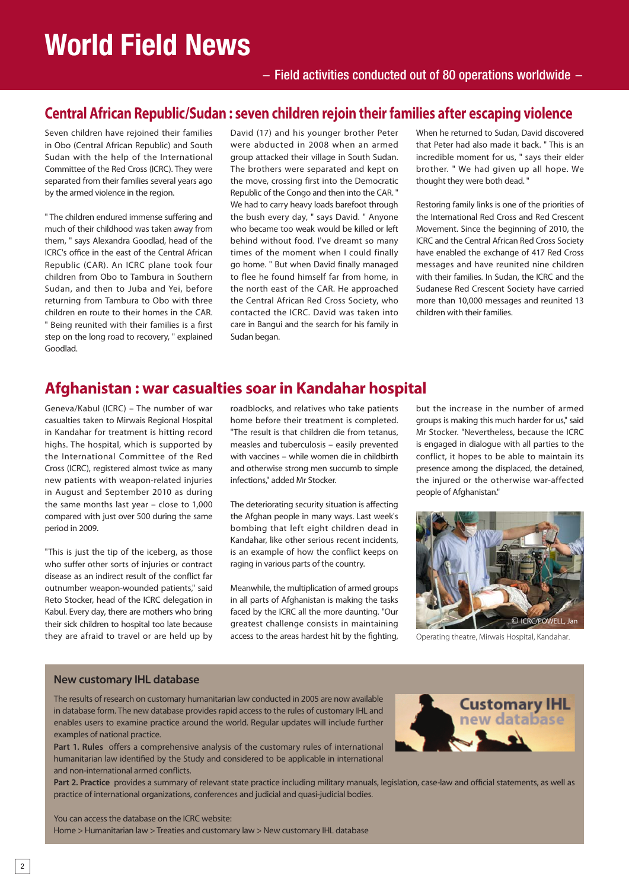# **World Field News**

## $-$  Field activities conducted out of 80 operations worldwide  $-$

## **Central African Republic/Sudan : seven children rejoin their families after escaping violence**

Seven children have rejoined their families in Obo (Central African Republic) and South Sudan with the help of the International Committee of the Red Cross (ICRC). They were separated from their families several years ago by the armed violence in the region.

" The children endured immense suffering and much of their childhood was taken away from them, " says Alexandra Goodlad, head of the ICRC's office in the east of the Central African Republic (CAR). An ICRC plane took four children from Obo to Tambura in Southern Sudan, and then to Juba and Yei, before returning from Tambura to Obo with three children en route to their homes in the CAR. " Being reunited with their families is a first step on the long road to recovery, " explained Goodlad.

David (17) and his younger brother Peter were abducted in 2008 when an armed group attacked their village in South Sudan. The brothers were separated and kept on the move, crossing first into the Democratic Republic of the Congo and then into the CAR. " We had to carry heavy loads barefoot through the bush every day, " says David. " Anyone who became too weak would be killed or left behind without food. I've dreamt so many times of the moment when I could finally go home. " But when David finally managed to flee he found himself far from home, in the north east of the CAR. He approached the Central African Red Cross Society, who contacted the ICRC. David was taken into care in Bangui and the search for his family in Sudan began.

When he returned to Sudan, David discovered that Peter had also made it back. " This is an incredible moment for us, " says their elder brother. " We had given up all hope. We thought they were both dead. "

Restoring family links is one of the priorities of the International Red Cross and Red Crescent Movement. Since the beginning of 2010, the ICRC and the Central African Red Cross Society have enabled the exchange of 417 Red Cross messages and have reunited nine children with their families. In Sudan, the ICRC and the Sudanese Red Crescent Society have carried more than 10,000 messages and reunited 13 children with their families.

## **Afghanistan : war casualties soar in Kandahar hospital**

Geneva/Kabul (ICRC) – The number of war casualties taken to Mirwais Regional Hospital in Kandahar for treatment is hitting record highs. The hospital, which is supported by the International Committee of the Red Cross (ICRC), registered almost twice as many new patients with weapon-related injuries in August and September 2010 as during the same months last year – close to 1,000 compared with just over 500 during the same period in 2009.

"This is just the tip of the iceberg, as those who suffer other sorts of injuries or contract disease as an indirect result of the conflict far outnumber weapon-wounded patients," said Reto Stocker, head of the ICRC delegation in Kabul. Every day, there are mothers who bring their sick children to hospital too late because they are afraid to travel or are held up by

roadblocks, and relatives who take patients home before their treatment is completed. "The result is that children die from tetanus, measles and tuberculosis – easily prevented with vaccines – while women die in childbirth and otherwise strong men succumb to simple infections," added Mr Stocker.

The deteriorating security situation is affecting the Afghan people in many ways. Last week's bombing that left eight children dead in Kandahar, like other serious recent incidents, is an example of how the conflict keeps on raging in various parts of the country.

Meanwhile, the multiplication of armed groups in all parts of Afghanistan is making the tasks faced by the ICRC all the more daunting. "Our greatest challenge consists in maintaining access to the areas hardest hit by the fighting,

but the increase in the number of armed groups is making this much harder for us," said Mr Stocker. "Nevertheless, because the ICRC is engaged in dialogue with all parties to the conflict, it hopes to be able to maintain its presence among the displaced, the detained, the injured or the otherwise war-affected people of Afghanistan."



Operating theatre, Mirwais Hospital, Kandahar.

### **New customary IHL database**

The results of research on customary humanitarian law conducted in 2005 are now available in database form. The new database provides rapid access to the rules of customary IHL and enables users to examine practice around the world. Regular updates will include further examples of national practice.

**Part 1. Rules** offers a comprehensive analysis of the customary rules of international humanitarian law identified by the Study and considered to be applicable in international and non-international armed conflicts.



**Part 2. Practice** provides a summary of relevant state practice including military manuals, legislation, case-law and official statements, as well as practice of international organizations, conferences and judicial and quasi-judicial bodies.

You can access the database on the ICRC website:

Home > Humanitarian law > Treaties and customary law > New customary IHL database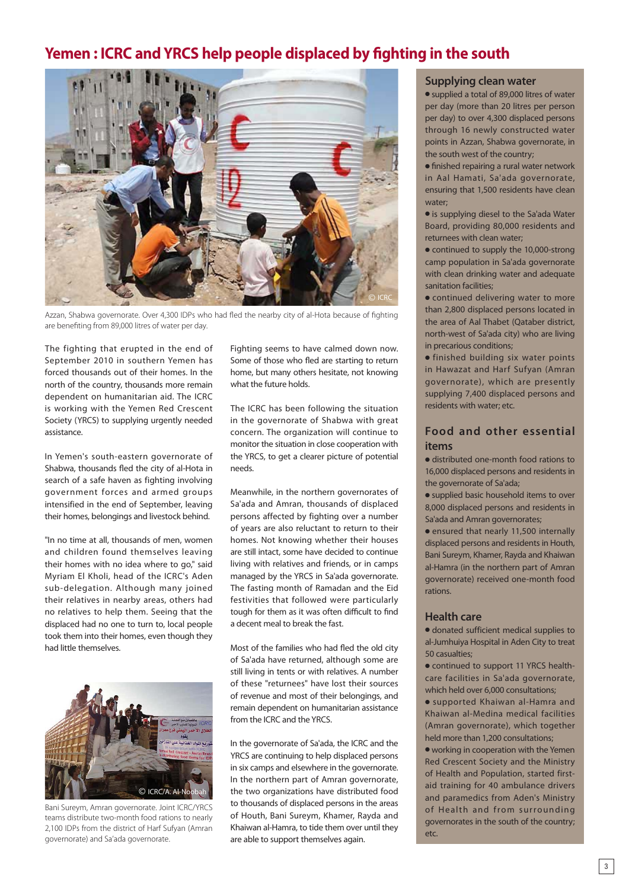## **Yemen : ICRC and YRCS help people displaced by fighting in the south**



Azzan, Shabwa governorate. Over 4,300 IDPs who had fled the nearby city of al-Hota because of fighting are benefiting from 89,000 litres of water per day.

The fighting that erupted in the end of September 2010 in southern Yemen has forced thousands out of their homes. In the north of the country, thousands more remain dependent on humanitarian aid. The ICRC is working with the Yemen Red Crescent Society (YRCS) to supplying urgently needed assistance.

In Yemen's south-eastern governorate of Shabwa, thousands fled the city of al-Hota in search of a safe haven as fighting involving government forces and armed groups intensified in the end of September, leaving their homes, belongings and livestock behind.

"In no time at all, thousands of men, women and children found themselves leaving their homes with no idea where to go," said Myriam El Kholi, head of the ICRC's Aden sub-delegation. Although many joined their relatives in nearby areas, others had no relatives to help them. Seeing that the displaced had no one to turn to, local people took them into their homes, even though they had little themselves.



Bani Sureym, Amran governorate. Joint ICRC/YRCS teams distribute two-month food rations to nearly 2,100 IDPs from the district of Harf Sufyan (Amran governorate) and Sa'ada governorate.

Fighting seems to have calmed down now. Some of those who fled are starting to return home, but many others hesitate, not knowing what the future holds.

The ICRC has been following the situation in the governorate of Shabwa with great concern. The organization will continue to monitor the situation in close cooperation with the YRCS, to get a clearer picture of potential needs.

Meanwhile, in the northern governorates of Sa'ada and Amran, thousands of displaced persons affected by fighting over a number of years are also reluctant to return to their homes. Not knowing whether their houses are still intact, some have decided to continue living with relatives and friends, or in camps managed by the YRCS in Sa'ada governorate. The fasting month of Ramadan and the Eid festivities that followed were particularly tough for them as it was often difficult to find a decent meal to break the fast.

Most of the families who had fled the old city of Sa'ada have returned, although some are still living in tents or with relatives. A number of these "returnees" have lost their sources of revenue and most of their belongings, and remain dependent on humanitarian assistance from the ICRC and the YRCS.

In the governorate of Sa'ada, the ICRC and the YRCS are continuing to help displaced persons in six camps and elsewhere in the governorate. In the northern part of Amran governorate, the two organizations have distributed food to thousands of displaced persons in the areas of Houth, Bani Sureym, Khamer, Rayda and Khaiwan al-Hamra, to tide them over until they are able to support themselves again.

### **Supplying clean water**

• supplied a total of 89,000 litres of water per day (more than 20 litres per person per day) to over 4,300 displaced persons through 16 newly constructed water points in Azzan, Shabwa governorate, in the south west of the country;

**•** finished repairing a rural water network in Aal Hamati, Sa'ada governorate, ensuring that 1,500 residents have clean water;

- is supplying diesel to the Sa'ada Water Board, providing 80,000 residents and returnees with clean water;
- $\bullet$  continued to supply the 10,000-strong camp population in Sa'ada governorate with clean drinking water and adequate sanitation facilities;

 $\bullet$  continued delivering water to more than 2,800 displaced persons located in the area of Aal Thabet (Qataber district, north-west of Sa'ada city) who are living in precarious conditions;

 $\bullet$  finished building six water points in Hawazat and Harf Sufyan (Amran governorate), which are presently supplying 7,400 displaced persons and residents with water; etc.

### **Food and other essential items**

 $\bullet$  distributed one-month food rations to 16,000 displaced persons and residents in the governorate of Sa'ada;

• supplied basic household items to over 8,000 displaced persons and residents in Sa'ada and Amran governorates;

 $\bullet$  ensured that nearly 11,500 internally displaced persons and residents in Houth, Bani Sureym, Khamer, Rayda and Khaiwan al-Hamra (in the northern part of Amran governorate) received one-month food rations.

### **Health care**

 $\bullet$  donated sufficient medical supplies to al-Jumhuiya Hospital in Aden City to treat 50 casualties;

• continued to support 11 YRCS healthcare facilities in Sa'ada governorate, which held over 6,000 consultations;

**.** supported Khaiwan al-Hamra and Khaiwan al-Medina medical facilities (Amran governorate), which together held more than 1,200 consultations;

 $\bullet$  working in cooperation with the Yemen Red Crescent Society and the Ministry of Health and Population, started firstaid training for 40 ambulance drivers and paramedics from Aden's Ministry of Health and from surrounding governorates in the south of the country; etc.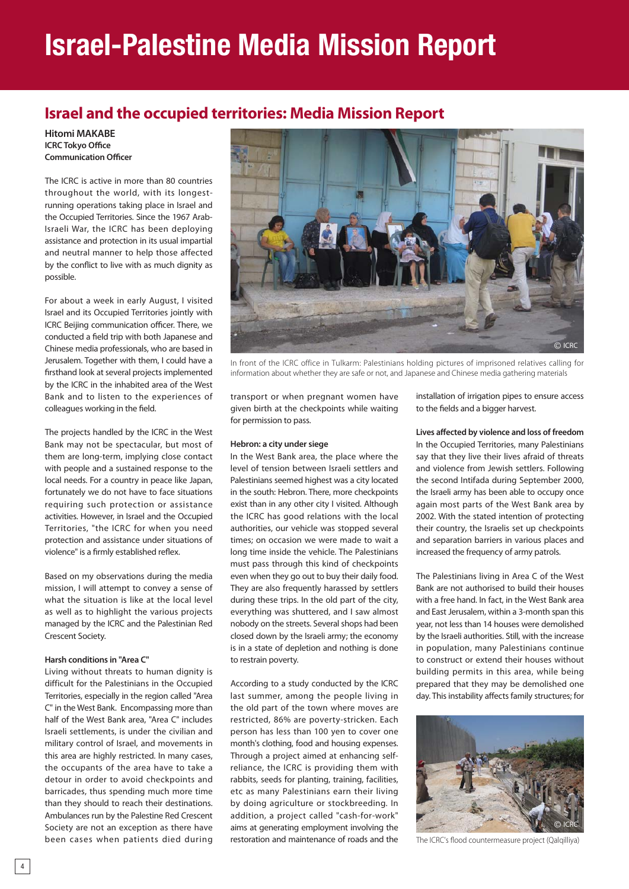# **Israel-Palestine Media Mission Report**

## **Israel and the occupied territories: Media Mission Report**

#### **Hitomi MAKABE ICRC Tokyo Office Communication Officer**

The ICRC is active in more than 80 countries throughout the world, with its longestrunning operations taking place in Israel and the Occupied Territories. Since the 1967 Arab-Israeli War, the ICRC has been deploying assistance and protection in its usual impartial and neutral manner to help those affected by the conflict to live with as much dignity as possible.

For about a week in early August, I visited Israel and its Occupied Territories jointly with ICRC Beijing communication officer. There, we conducted a field trip with both Japanese and Chinese media professionals, who are based in Jerusalem. Together with them, I could have a firsthand look at several projects implemented by the ICRC in the inhabited area of the West Bank and to listen to the experiences of colleagues working in the field.

The projects handled by the ICRC in the West Bank may not be spectacular, but most of them are long-term, implying close contact with people and a sustained response to the local needs. For a country in peace like Japan, fortunately we do not have to face situations requiring such protection or assistance activities. However, in Israel and the Occupied Territories, "the ICRC for when you need protection and assistance under situations of violence" is a firmly established reflex.

Based on my observations during the media mission, I will attempt to convey a sense of what the situation is like at the local level as well as to highlight the various projects managed by the ICRC and the Palestinian Red Crescent Society.

#### **Harsh conditions in "Area C"**

Living without threats to human dignity is difficult for the Palestinians in the Occupied Territories, especially in the region called "Area C" in the West Bank. Encompassing more than half of the West Bank area, "Area C" includes Israeli settlements, is under the civilian and military control of Israel, and movements in this area are highly restricted. In many cases, the occupants of the area have to take a detour in order to avoid checkpoints and barricades, thus spending much more time than they should to reach their destinations. Ambulances run by the Palestine Red Crescent Society are not an exception as there have been cases when patients died during



In front of the ICRC office in Tulkarm: Palestinians holding pictures of imprisoned relatives calling for information about whether they are safe or not, and Japanese and Chinese media gathering materials

transport or when pregnant women have given birth at the checkpoints while waiting for permission to pass.

#### **Hebron: a city under siege**

In the West Bank area, the place where the level of tension between Israeli settlers and Palestinians seemed highest was a city located in the south: Hebron. There, more checkpoints exist than in any other city I visited. Although the ICRC has good relations with the local authorities, our vehicle was stopped several times; on occasion we were made to wait a long time inside the vehicle. The Palestinians must pass through this kind of checkpoints even when they go out to buy their daily food. They are also frequently harassed by settlers during these trips. In the old part of the city, everything was shuttered, and I saw almost nobody on the streets. Several shops had been closed down by the Israeli army; the economy is in a state of depletion and nothing is done to restrain poverty.

According to a study conducted by the ICRC last summer, among the people living in the old part of the town where moves are restricted, 86% are poverty-stricken. Each person has less than 100 yen to cover one month's clothing, food and housing expenses. Through a project aimed at enhancing selfreliance, the ICRC is providing them with rabbits, seeds for planting, training, facilities, etc as many Palestinians earn their living by doing agriculture or stockbreeding. In addition, a project called "cash-for-work" aims at generating employment involving the restoration and maintenance of roads and the

installation of irrigation pipes to ensure access to the fields and a bigger harvest.

**Lives affected by violence and loss of freedom**  In the Occupied Territories, many Palestinians say that they live their lives afraid of threats and violence from Jewish settlers. Following the second Intifada during September 2000, the Israeli army has been able to occupy once again most parts of the West Bank area by 2002. With the stated intention of protecting their country, the Israelis set up checkpoints and separation barriers in various places and increased the frequency of army patrols.

The Palestinians living in Area C of the West Bank are not authorised to build their houses with a free hand. In fact, in the West Bank area and East Jerusalem, within a 3-month span this year, not less than 14 houses were demolished by the Israeli authorities. Still, with the increase in population, many Palestinians continue to construct or extend their houses without building permits in this area, while being prepared that they may be demolished one day. This instability affects family structures; for



The ICRC's flood countermeasure project (Qalqilliya)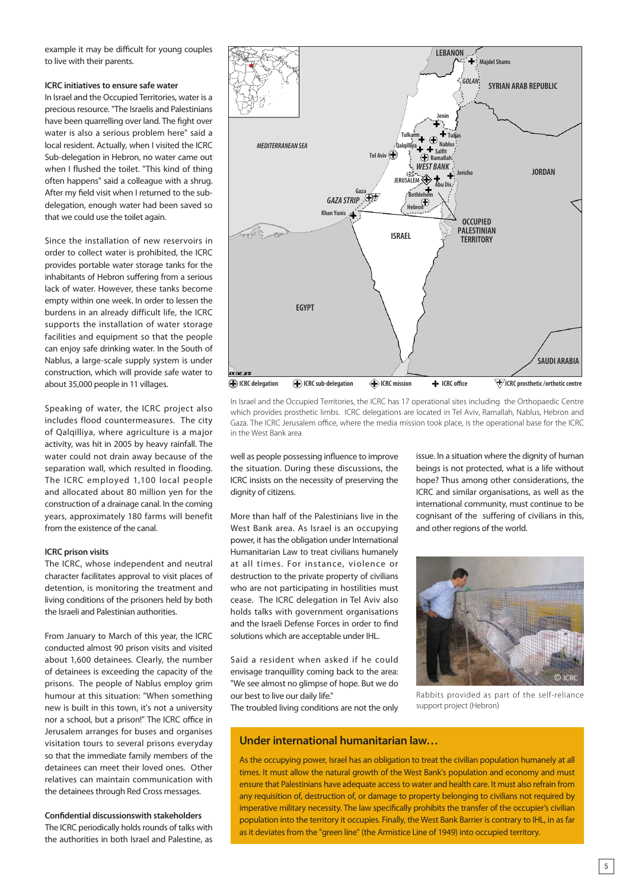example it may be difficult for young couples to live with their parents.

#### **ICRC initiatives to ensure safe water**

In Israel and the Occupied Territories, water is a precious resource. "The Israelis and Palestinians have been quarrelling over land. The fight over water is also a serious problem here" said a local resident. Actually, when I visited the ICRC Sub-delegation in Hebron, no water came out when I flushed the toilet. "This kind of thing often happens" said a colleague with a shrug. After my field visit when I returned to the subdelegation, enough water had been saved so that we could use the toilet again.

Since the installation of new reservoirs in order to collect water is prohibited, the ICRC provides portable water storage tanks for the inhabitants of Hebron suffering from a serious lack of water. However, these tanks become empty within one week. In order to lessen the burdens in an already difficult life, the ICRC supports the installation of water storage facilities and equipment so that the people can enjoy safe drinking water. In the South of Nablus, a large-scale supply system is under construction, which will provide safe water to about 35,000 people in 11 villages.

Speaking of water, the ICRC project also includes flood countermeasures. The city of Qalqilliya, where agriculture is a major activity, was hit in 2005 by heavy rainfall. The water could not drain away because of the separation wall, which resulted in flooding. The ICRC employed 1,100 local people and allocated about 80 million yen for the construction of a drainage canal. In the coming years, approximately 180 farms will benefit from the existence of the canal.

#### **ICRC prison visits**

The ICRC, whose independent and neutral character facilitates approval to visit places of detention, is monitoring the treatment and living conditions of the prisoners held by both the Israeli and Palestinian authorities.

From January to March of this year, the ICRC conducted almost 90 prison visits and visited about 1,600 detainees. Clearly, the number of detainees is exceeding the capacity of the prisons. The people of Nablus employ grim humour at this situation: "When something new is built in this town, it's not a university nor a school, but a prison!" The ICRC office in Jerusalem arranges for buses and organises visitation tours to several prisons everyday so that the immediate family members of the detainees can meet their loved ones. Other relatives can maintain communication with the detainees through Red Cross messages.

#### **Confidential discussionswith stakeholders**

The ICRC periodically holds rounds of talks with the authorities in both Israel and Palestine, as



In Israel and the Occupied Territories, the ICRC has 17 operational sites including the Orthopaedic Centre which provides prosthetic limbs. ICRC delegations are located in Tel Aviv, Ramallah, Nablus, Hebron and Gaza. The ICRC Jerusalem office, where the media mission took place, is the operational base for the ICRC in the West Bank area

well as people possessing influence to improve the situation. During these discussions, the ICRC insists on the necessity of preserving the dignity of citizens.

More than half of the Palestinians live in the West Bank area. As Israel is an occupying power, it has the obligation under International Humanitarian Law to treat civilians humanely at all times. For instance, violence or destruction to the private property of civilians who are not participating in hostilities must cease. The ICRC delegation in Tel Aviv also holds talks with government organisations and the Israeli Defense Forces in order to find solutions which are acceptable under IHL.

Said a resident when asked if he could envisage tranquillity coming back to the area: "We see almost no glimpse of hope. But we do our best to live our daily life."

The troubled living conditions are not the only

issue. In a situation where the dignity of human beings is not protected, what is a life without hope? Thus among other considerations, the ICRC and similar organisations, as well as the international community, must continue to be cognisant of the suffering of civilians in this, and other regions of the world.



Rabbits provided as part of the self-reliance support project (Hebron)

### **Under international humanitarian law…**

As the occupying power, Israel has an obligation to treat the civilian population humanely at all times. It must allow the natural growth of the West Bank's population and economy and must ensure that Palestinians have adequate access to water and health care. It must also refrain from any requisition of, destruction of, or damage to property belonging to civilians not required by imperative military necessity. The law specifically prohibits the transfer of the occupier's civilian population into the territory it occupies. Finally, the West Bank Barrier is contrary to IHL, in as far as it deviates from the "green line" (the Armistice Line of 1949) into occupied territory.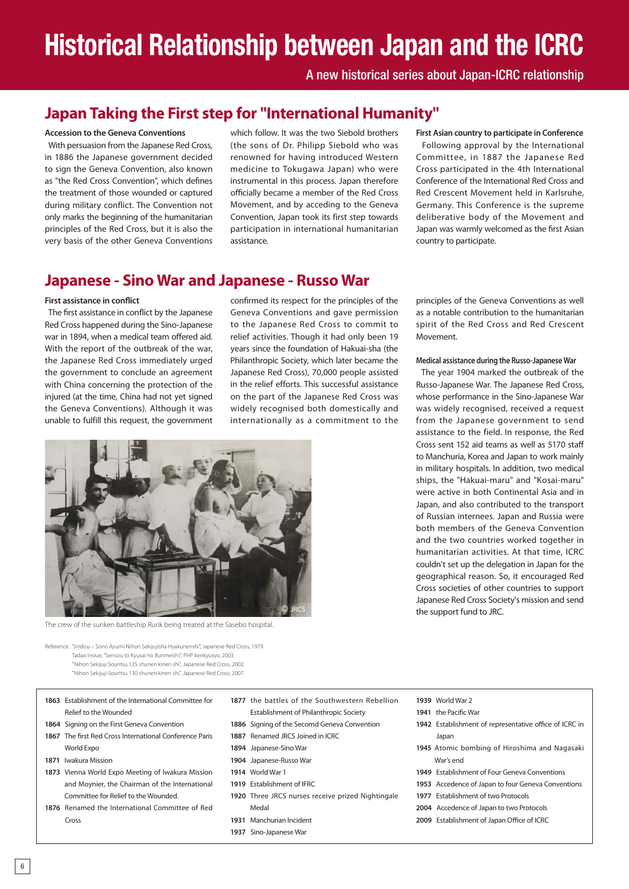# **Historical Relationship between Japan and the ICRC**

A new historical series about Japan-ICRC relationship

# **Japan Taking the First step for "International Humanity"**

#### **Accession to the Geneva Conventions**

 With persuasion from the Japanese Red Cross, in 1886 the Japanese government decided to sign the Geneva Convention, also known as "the Red Cross Convention", which defines the treatment of those wounded or captured during military conflict. The Convention not only marks the beginning of the humanitarian principles of the Red Cross, but it is also the very basis of the other Geneva Conventions

which follow. It was the two Siebold brothers (the sons of Dr. Philipp Siebold who was renowned for having introduced Western medicine to Tokugawa Japan) who were instrumental in this process. Japan therefore officially became a member of the Red Cross Movement, and by acceding to the Geneva Convention, Japan took its first step towards participation in international humanitarian assistance.

## **Japanese - Sino War and Japanese - Russo War**

#### **First assistance in conflict**

 The first assistance in conflict by the Japanese Red Cross happened during the Sino-Japanese war in 1894, when a medical team offered aid. With the report of the outbreak of the war, the Japanese Red Cross immediately urged the government to conclude an agreement with China concerning the protection of the injured (at the time, China had not yet signed the Geneva Conventions). Although it was unable to fulfill this request, the government

confirmed its respect for the principles of the Geneva Conventions and gave permission to the Japanese Red Cross to commit to relief activities. Though it had only been 19 years since the foundation of Hakuai-sha (the Philanthropic Society, which later became the Japanese Red Cross), 70,000 people assisted in the relief efforts. This successful assistance on the part of the Japanese Red Cross was widely recognised both domestically and internationally as a commitment to the

**First Asian country to participate in Conference** Following approval by the International Committee, in 1887 the Japanese Red Cross participated in the 4th International Conference of the International Red Cross and Red Crescent Movement held in Karlsruhe, Germany. This Conference is the supreme deliberative body of the Movement and Japan was warmly welcomed as the first Asian country to participate.

principles of the Geneva Conventions as well as a notable contribution to the humanitarian spirit of the Red Cross and Red Crescent Movement.

#### **Medical assistance during the Russo-Japanese War**

 The year 1904 marked the outbreak of the Russo-Japanese War. The Japanese Red Cross, whose performance in the Sino-Japanese War was widely recognised, received a request from the Japanese government to send assistance to the field. In response, the Red Cross sent 152 aid teams as well as 5170 staff to Manchuria, Korea and Japan to work mainly in military hospitals. In addition, two medical ships, the "Hakuai-maru" and "Kosai-maru" were active in both Continental Asia and in Japan, and also contributed to the transport of Russian internees. Japan and Russia were both members of the Geneva Convention and the two countries worked together in humanitarian activities. At that time, ICRC couldn't set up the delegation in Japan for the geographical reason. So, it encouraged Red Cross societies of other countries to support Japanese Red Cross Society's mission and send the support fund to JRC.



The crew of the sunken battleship Rurik being treated at the Sasebo hospital.

Reference : "Jindou – Sono Ayumi Nihon Sekijujisha Hyakunenshi", Japanese Red Cross, 1979. Tadao Inoue, "Sensou to Kyusai no Bunmeishi", PHP kenkyusyo, 2003. "Nihon Sekijuji Souritsu 125 shunen kinen shi", Japanese Red Cross, 2002. "Nihon Sekijuji Souritsu 130 shunen kinen shi", Japanese Red Cross, 2007.

**1863** Establishment of the International Committee for

**1873** Vienna World Expo Meeting of Iwakura Mission and Moynier, the Chairman of the International Committee for Relief to the Wounded. **1876** Renamed the International Committee of Red

Relief to the Wounded **1864** Signing on the First Geneva Convention **1867** The first Red Cross International Conference Paris

World Expo **1871** Iwakura Mission

- **1877** the battles of the Southwestern Rebellion Establishment of Philanthropic Society
- **1886** Signing of the Secomd Geneva Convention
- **1887** Renamed JRCS Joined in ICRC
- **1894** Japanese-Sino War
- **1904** Japanese-Russo War
- **1914** World War 1
- **1919** Establishment of IFRC
- **1920** Three JRCS nurses receive prized Nightingale Medal
- **1931** Manchurian Incident
- **1937** Sino-Japanese War

**1939** World War 2

- **1941** the Pacific War
- **1942** Establishment of representative office of ICRC in Japan
- **1945** Atomic bombing of Hiroshima and Nagasaki War's end
- **1949** Establishment of Four Geneva Conventions
- **1953** Accedence of Japan to four Geneva Conventions
- **1977** Establishment of two Protocols
- **2004** Accedence of Japan to two Protocols
- **2009** Establishment of Japan Office of ICRC

Cross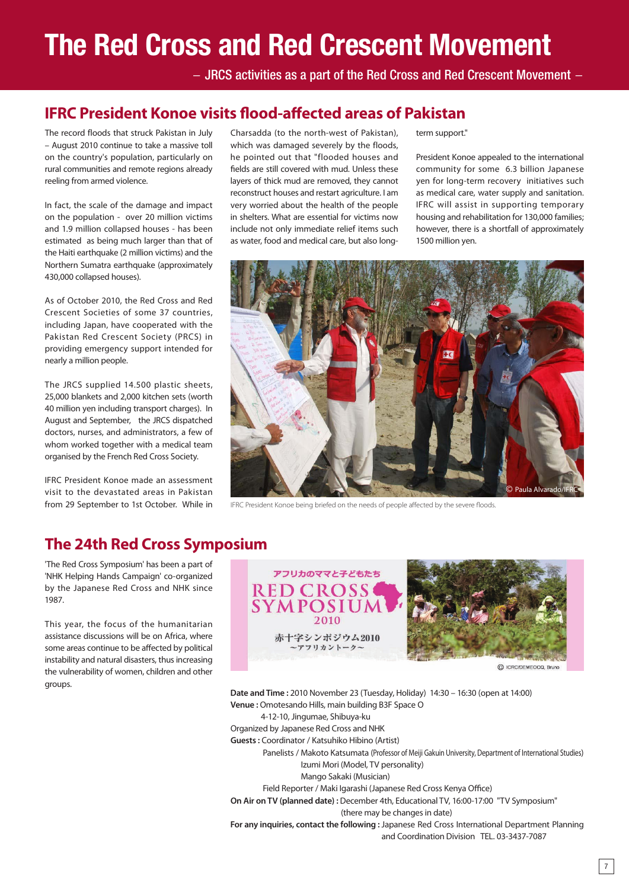# **The Red Cross and Red Crescent Movement**

 $-$  JRCS activities as a part of the Red Cross and Red Crescent Movement  $-$ 

## **IFRC President Konoe visits flood-affected areas of Pakistan**

The record floods that struck Pakistan in July – August 2010 continue to take a massive toll on the country's population, particularly on rural communities and remote regions already reeling from armed violence.

In fact, the scale of the damage and impact on the population - over 20 million victims and 1.9 million collapsed houses - has been estimated as being much larger than that of the Haiti earthquake (2 million victims) and the Northern Sumatra earthquake (approximately 430,000 collapsed houses).

As of October 2010, the Red Cross and Red Crescent Societies of some 37 countries, including Japan, have cooperated with the Pakistan Red Crescent Society (PRCS) in providing emergency support intended for nearly a million people.

The JRCS supplied 14.500 plastic sheets, 25,000 blankets and 2,000 kitchen sets (worth 40 million yen including transport charges). In August and September, the JRCS dispatched doctors, nurses, and administrators, a few of whom worked together with a medical team organised by the French Red Cross Society.

IFRC President Konoe made an assessment visit to the devastated areas in Pakistan from 29 September to 1st October. While in

Charsadda (to the north-west of Pakistan), which was damaged severely by the floods, he pointed out that "flooded houses and fields are still covered with mud. Unless these layers of thick mud are removed, they cannot reconstruct houses and restart agriculture. I am very worried about the health of the people in shelters. What are essential for victims now include not only immediate relief items such as water, food and medical care, but also longterm support."

President Konoe appealed to the international community for some 6.3 billion Japanese yen for long-term recovery initiatives such as medical care, water supply and sanitation. IFRC will assist in supporting temporary housing and rehabilitation for 130,000 families; however, there is a shortfall of approximately 1500 million yen.



IFRC President Konoe being briefed on the needs of people affected by the severe floods.

## **The 24th Red Cross Symposium**

'The Red Cross Symposium' has been a part of 'NHK Helping Hands Campaign' co-organized by the Japanese Red Cross and NHK since 1987.

This year, the focus of the humanitarian assistance discussions will be on Africa, where some areas continue to be affected by political instability and natural disasters, thus increasing the vulnerability of women, children and other groups.



C ICRC/DEMEOCO, Bruno

**Date and Time :** 2010 November 23 (Tuesday, Holiday) 14:30 – 16:30 (open at 14:00) **Venue :** Omotesando Hills, main building B3F Space O 4-12-10, Jingumae, Shibuya-ku Organized by Japanese Red Cross and NHK **Guests :** Coordinator / Katsuhiko Hibino (Artist) Panelists / Makoto Katsumata (Professor of Meiji Gakuin University, Department of International Studies) Izumi Mori (Model, TV personality) Mango Sakaki (Musician) Field Reporter / Maki Igarashi (Japanese Red Cross Kenya Office)

**On Air on TV (planned date) :** December 4th, Educational TV, 16:00-17:00 "TV Symposium"

(there may be changes in date)

**For any inquiries, contact the following :** Japanese Red Cross International Department Planning and Coordination Division TEL. 03-3437-7087